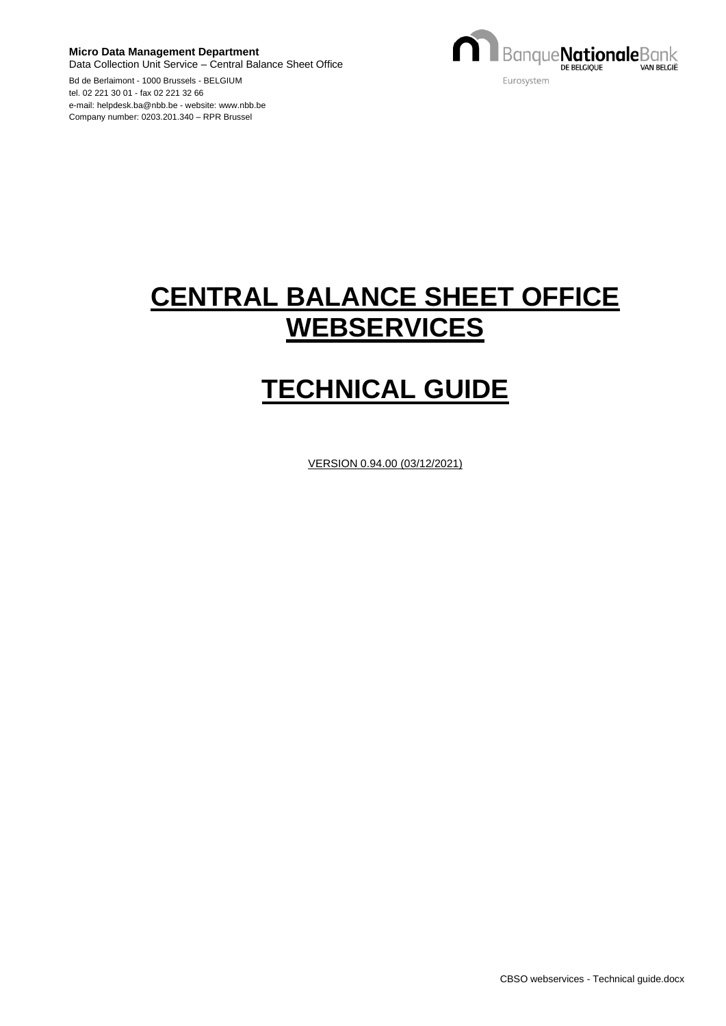**Micro Data Management Department** Data Collection Unit Service – Central Balance Sheet Office Bd de Berlaimont - 1000 Brussels - BELGIUM



tel. 02 221 30 01 - fax 02 221 32 66 e-mail: helpdesk.ba@nbb.be - website: www.nbb.be Company number: 0203.201.340 – RPR Brussel

# **CENTRAL BALANCE SHEET OFFICE WEBSERVICES**

# **TECHNICAL GUIDE**

VERSION 0.94.00 (03/12/2021)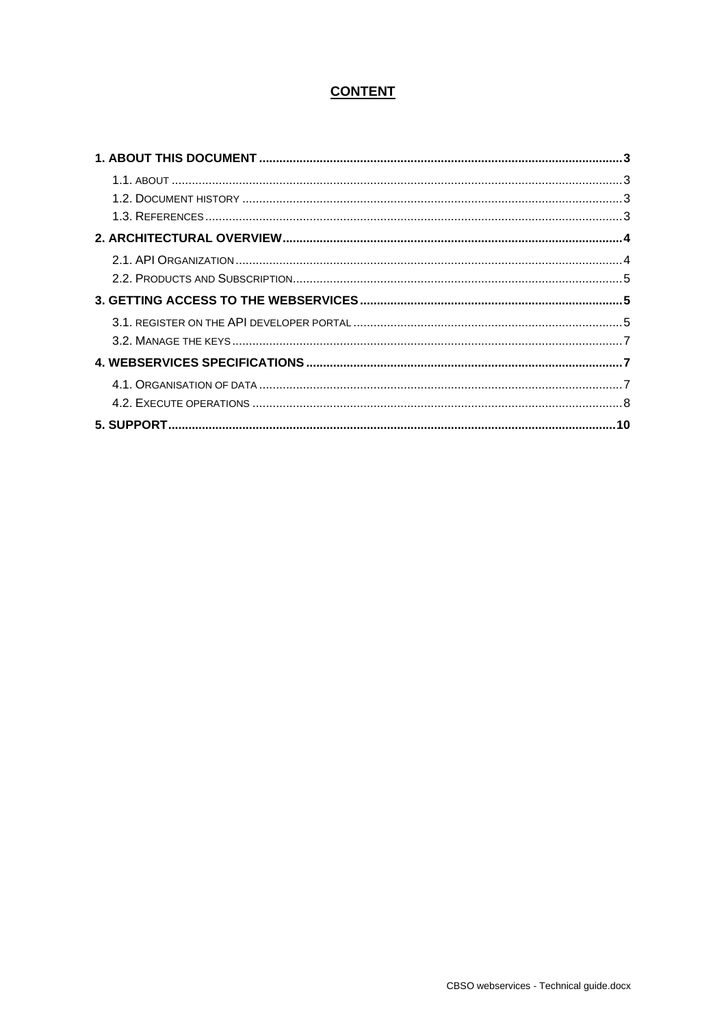# **CONTENT**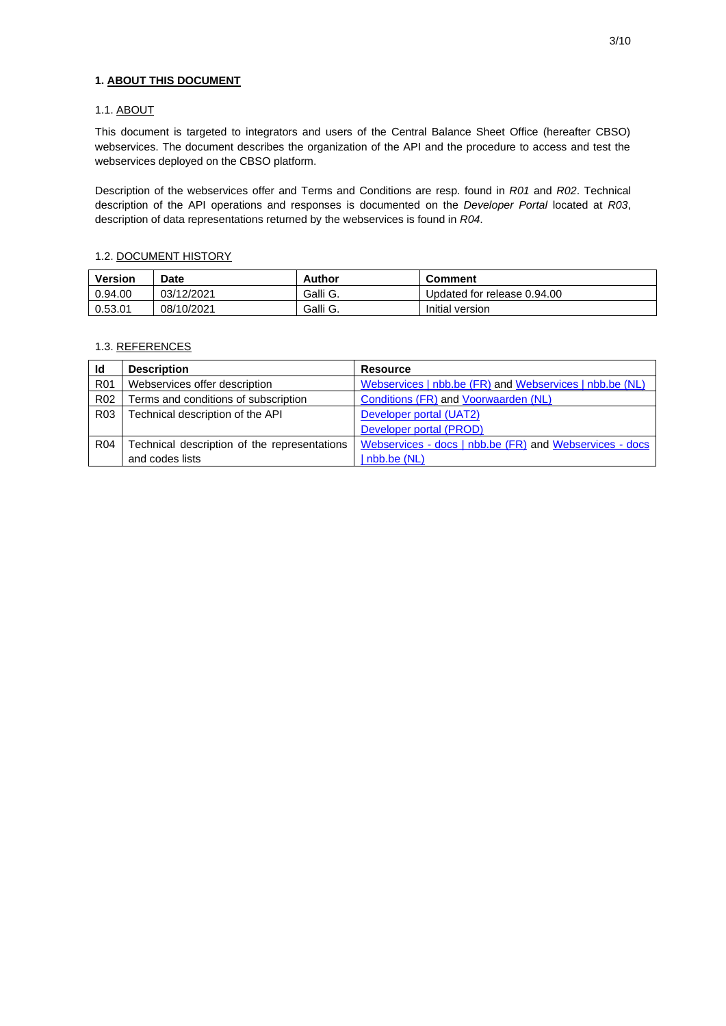# **1. ABOUT THIS DOCUMENT**

#### 1.1. ABOUT

This document is targeted to integrators and users of the Central Balance Sheet Office (hereafter CBSO) webservices. The document describes the organization of the API and the procedure to access and test the webservices deployed on the CBSO platform.

Description of the webservices offer and Terms and Conditions are resp. found in *R01* and *R02*. Technical description of the API operations and responses is documented on the *Developer Portal* located at *R03*, description of data representations returned by the webservices is found in *R04*.

#### 1.2. DOCUMENT HISTORY

| <b>Version</b> | Date       | Author   | <b>Comment</b>              |
|----------------|------------|----------|-----------------------------|
| 0.94.00        | 03/12/2021 | Galli G. | Updated for release 0.94.00 |
| 0.53.01        | 08/10/2021 | Galli G. | Initial version             |

#### 1.3. REFERENCES

| Id              | <b>Description</b>                           | <b>Resource</b>                                         |
|-----------------|----------------------------------------------|---------------------------------------------------------|
| R <sub>01</sub> | Webservices offer description                | Webservices   nbb.be (FR) and Webservices   nbb.be (NL) |
| R <sub>02</sub> | Terms and conditions of subscription         | Conditions (FR) and Voorwaarden (NL)                    |
| R <sub>03</sub> | Technical description of the API             | Developer portal (UAT2)                                 |
|                 |                                              | Developer portal (PROD)                                 |
| R <sub>04</sub> | Technical description of the representations | Webservices - docs   nbb.be (FR) and Webservices - docs |
|                 | and codes lists                              | nbb.be (NL)                                             |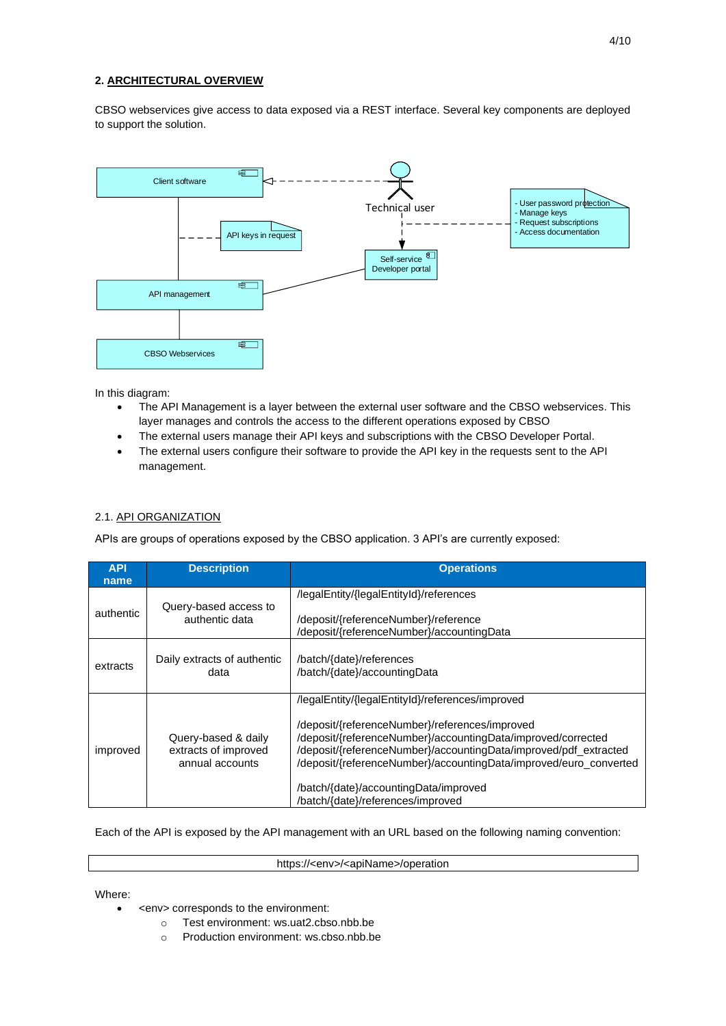# **2. ARCHITECTURAL OVERVIEW**

CBSO webservices give access to data exposed via a REST interface. Several key components are deployed to support the solution.



In this diagram:

- The API Management is a layer between the external user software and the CBSO webservices. This layer manages and controls the access to the different operations exposed by CBSO
- The external users manage their API keys and subscriptions with the CBSO Developer Portal.
- The external users configure their software to provide the API key in the requests sent to the API management.

## 2.1. API ORGANIZATION

APIs are groups of operations exposed by the CBSO application. 3 API's are currently exposed:

| <b>API</b><br>name | <b>Description</b>                                             | <b>Operations</b>                                                                                                                                                                                                                                                                                                                                                                         |
|--------------------|----------------------------------------------------------------|-------------------------------------------------------------------------------------------------------------------------------------------------------------------------------------------------------------------------------------------------------------------------------------------------------------------------------------------------------------------------------------------|
| authentic          | Query-based access to<br>authentic data                        | /legalEntity/{legalEntityId}/references<br>/deposit/{referenceNumber}/reference<br>/deposit/{referenceNumber}/accountingData                                                                                                                                                                                                                                                              |
| extracts           | Daily extracts of authentic<br>data                            | /batch/{date}/references<br>/batch/{date}/accountingData                                                                                                                                                                                                                                                                                                                                  |
| improved           | Query-based & daily<br>extracts of improved<br>annual accounts | /legalEntity/{legalEntityId}/references/improved<br>/deposit/{referenceNumber}/references/improved<br>/deposit/{referenceNumber}/accountingData/improved/corrected<br>/deposit/{referenceNumber}/accountingData/improved/pdf_extracted<br>/deposit/{referenceNumber}/accountingData/improved/euro_converted<br>/batch/{date}/accountingData/improved<br>/batch/{date}/references/improved |

Each of the API is exposed by the API management with an URL based on the following naming convention:

https://<env>/<apiName>/operation

Where:

- <env> corresponds to the environment:
	- o Test environment: ws.uat2.cbso.nbb.be
	- o Production environment: ws.cbso.nbb.be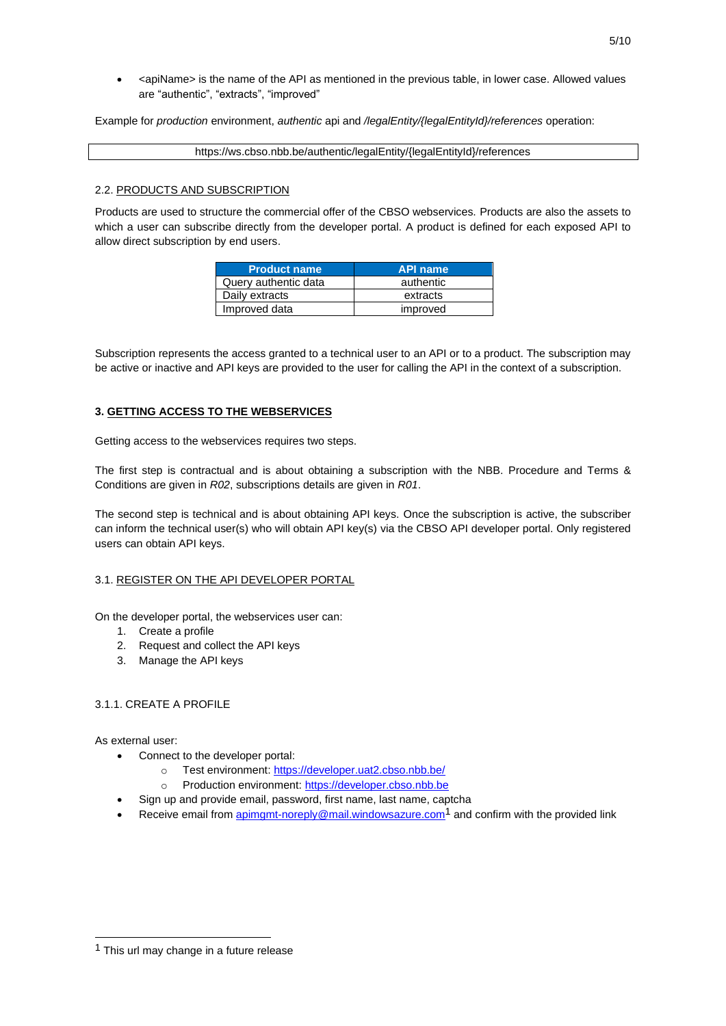• <apiName> is the name of the API as mentioned in the previous table, in lower case. Allowed values are "authentic", "extracts", "improved"

Example for *production* environment, *authentic* api and */legalEntity/{legalEntityId}/references* operation:

https://ws.cbso.nbb.be/authentic/legalEntity/{legalEntityId}/references

#### 2.2. PRODUCTS AND SUBSCRIPTION

Products are used to structure the commercial offer of the CBSO webservices. Products are also the assets to which a user can subscribe directly from the developer portal. A product is defined for each exposed API to allow direct subscription by end users.

| <b>Product name</b>  | <b>API name</b> |
|----------------------|-----------------|
| Query authentic data | authentic       |
| Daily extracts       | extracts        |
| Improved data        | improved        |

Subscription represents the access granted to a technical user to an API or to a product. The subscription may be active or inactive and API keys are provided to the user for calling the API in the context of a subscription.

#### **3. GETTING ACCESS TO THE WEBSERVICES**

Getting access to the webservices requires two steps.

The first step is contractual and is about obtaining a subscription with the NBB. Procedure and Terms & Conditions are given in *R02*, subscriptions details are given in *R01*.

The second step is technical and is about obtaining API keys. Once the subscription is active, the subscriber can inform the technical user(s) who will obtain API key(s) via the CBSO API developer portal. Only registered users can obtain API keys.

#### 3.1. REGISTER ON THE API DEVELOPER PORTAL

On the developer portal, the webservices user can:

- 1. Create a profile
- 2. Request and collect the API keys
- 3. Manage the API keys

# 3.1.1. CREATE A PROFILE

As external user:

- Connect to the developer portal:
	- o Test environment[: https://developer.uat2.cbso.nbb.be/](https://developer.uat2.cbso.nbb.be/)
	- o Production environment: [https://developer.cbso.nbb.be](https://developer.cbso.nbb.be/)
- Sign up and provide email, password, first name, last name, captcha
- Receive email from [apimgmt-noreply@mail.windowsazure.com](mailto:apimgmt-noreply@mail.windowsazure.com)<sup>1</sup> and confirm with the provided link

<sup>&</sup>lt;sup>1</sup> This url may change in a future release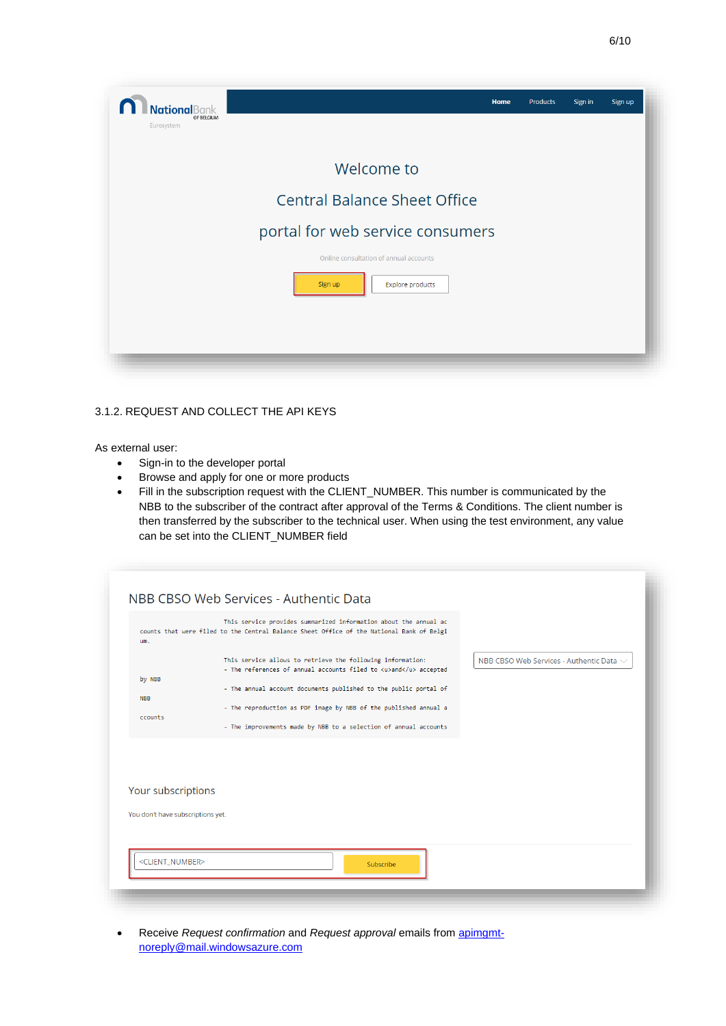| <b>National</b> Bank<br>OF BELGIUM<br>Eurosystem | Home                                                                         | <b>Products</b> | Sign in | Sign up |
|--------------------------------------------------|------------------------------------------------------------------------------|-----------------|---------|---------|
|                                                  | Welcome to                                                                   |                 |         |         |
|                                                  | <b>Central Balance Sheet Office</b>                                          |                 |         |         |
|                                                  | portal for web service consumers                                             |                 |         |         |
|                                                  | Online consultation of annual accounts<br><b>Explore products</b><br>Sign up |                 |         |         |

# 3.1.2. REQUEST AND COLLECT THE API KEYS

As external user:

- Sign-in to the developer portal
- Browse and apply for one or more products
- Fill in the subscription request with the CLIENT\_NUMBER. This number is communicated by the NBB to the subscriber of the contract after approval of the Terms & Conditions. The client number is then transferred by the subscriber to the technical user. When using the test environment, any value can be set into the CLIENT\_NUMBER field

| um.                               | This service provides summarized information about the annual ac<br>counts that were filed to the Central Balance Sheet Office of the National Bank of Belgi                                                                                                           |                                               |
|-----------------------------------|------------------------------------------------------------------------------------------------------------------------------------------------------------------------------------------------------------------------------------------------------------------------|-----------------------------------------------|
| by NBB<br><b>NBB</b>              | This service allows to retrieve the following information:<br>- The references of annual accounts filed to <u>and</u> accepted<br>- The annual account documents published to the public portal of<br>- The reproduction as PDF image by NBB of the published annual a | NBB CBSO Web Services - Authentic Data $\sim$ |
| ccounts                           | - The improvements made by NBB to a selection of annual accounts                                                                                                                                                                                                       |                                               |
| Your subscriptions                |                                                                                                                                                                                                                                                                        |                                               |
| You don't have subscriptions yet. |                                                                                                                                                                                                                                                                        |                                               |
| <client_number></client_number>   | Subscribe                                                                                                                                                                                                                                                              |                                               |

• Receive *Request confirmation* and *Request approval* emails from [apimgmt](mailto:apimgmt-noreply@mail.windowsazure.com)[noreply@mail.windowsazure.com](mailto:apimgmt-noreply@mail.windowsazure.com)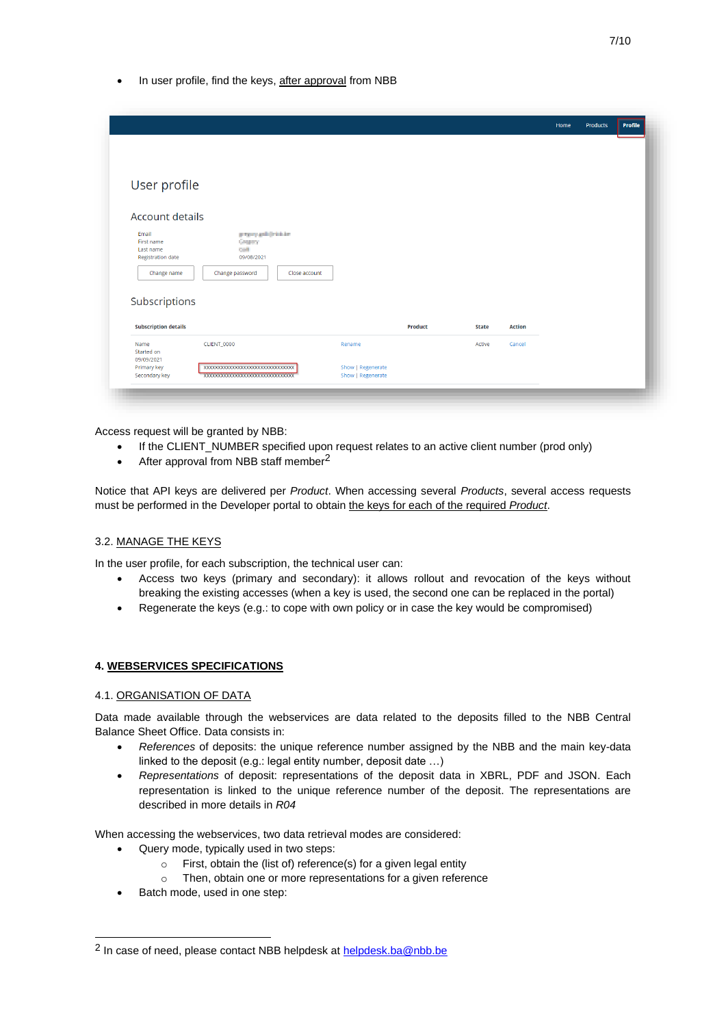In user profile, find the keys, after approval from NBB

|                             |                                   |                   |                |              |               | Home | Products | Profile |
|-----------------------------|-----------------------------------|-------------------|----------------|--------------|---------------|------|----------|---------|
|                             |                                   |                   |                |              |               |      |          |         |
|                             |                                   |                   |                |              |               |      |          |         |
|                             |                                   |                   |                |              |               |      |          |         |
|                             |                                   |                   |                |              |               |      |          |         |
| User profile                |                                   |                   |                |              |               |      |          |         |
|                             |                                   |                   |                |              |               |      |          |         |
|                             |                                   |                   |                |              |               |      |          |         |
| Account details             |                                   |                   |                |              |               |      |          |         |
| Email                       | proprogram (minimum               |                   |                |              |               |      |          |         |
| First name                  | Greeney                           |                   |                |              |               |      |          |         |
| Last name                   | out                               |                   |                |              |               |      |          |         |
| <b>Registration date</b>    | 09/08/2021                        |                   |                |              |               |      |          |         |
| Change name                 | Change password<br>Close account  |                   |                |              |               |      |          |         |
|                             |                                   |                   |                |              |               |      |          |         |
|                             |                                   |                   |                |              |               |      |          |         |
| Subscriptions               |                                   |                   |                |              |               |      |          |         |
|                             |                                   |                   |                |              |               |      |          |         |
| <b>Subscription details</b> |                                   |                   | <b>Product</b> | <b>State</b> | <b>Action</b> |      |          |         |
|                             |                                   |                   |                |              |               |      |          |         |
| Name<br>Started on          | <b>CLIENT_0000</b>                | Rename            |                | Active       | Cancel        |      |          |         |
| 09/09/2021                  |                                   |                   |                |              |               |      |          |         |
| Primary key                 | XXXXXXXXXXXXXXXXXXXXXXXXXXXXXXXXX | Show   Regenerate |                |              |               |      |          |         |
| Secondary key               | xxxxxxxxxxxxxxxxxxxxxxxxxxxxxx    | Show   Regenerate |                |              |               |      |          |         |
|                             |                                   |                   |                |              |               |      |          |         |

Access request will be granted by NBB:

- If the CLIENT\_NUMBER specified upon request relates to an active client number (prod only)
- After approval from NBB staff member<sup>2</sup>

Notice that API keys are delivered per *Product*. When accessing several *Products*, several access requests must be performed in the Developer portal to obtain the keys for each of the required *Product*.

#### 3.2. MANAGE THE KEYS

In the user profile, for each subscription, the technical user can:

- Access two keys (primary and secondary): it allows rollout and revocation of the keys without breaking the existing accesses (when a key is used, the second one can be replaced in the portal)
- Regenerate the keys (e.g.: to cope with own policy or in case the key would be compromised)

#### **4. WEBSERVICES SPECIFICATIONS**

#### 4.1. ORGANISATION OF DATA

Data made available through the webservices are data related to the deposits filled to the NBB Central Balance Sheet Office. Data consists in:

- *References* of deposits: the unique reference number assigned by the NBB and the main key-data linked to the deposit (e.g.: legal entity number, deposit date …)
- *Representations* of deposit: representations of the deposit data in XBRL, PDF and JSON. Each representation is linked to the unique reference number of the deposit. The representations are described in more details in *R04*

When accessing the webservices, two data retrieval modes are considered:

- Query mode, typically used in two steps:
	- $\circ$  First, obtain the (list of) reference(s) for a given legal entity
	- o Then, obtain one or more representations for a given reference
- Batch mode, used in one step:

<sup>&</sup>lt;sup>2</sup> In case of need, please contact NBB helpdesk at **helpdesk.ba@nbb.be**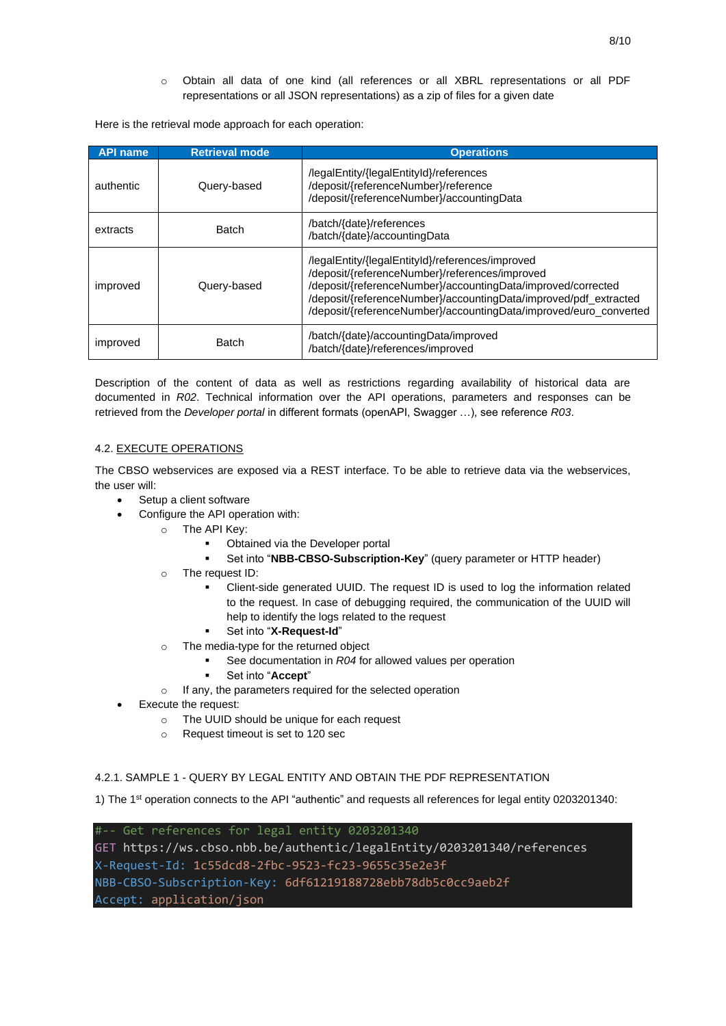o Obtain all data of one kind (all references or all XBRL representations or all PDF representations or all JSON representations) as a zip of files for a given date

Here is the retrieval mode approach for each operation:

| <b>API name</b> | <b>Retrieval mode</b> | <b>Operations</b>                                                                                                                                                                                                                                                                                           |
|-----------------|-----------------------|-------------------------------------------------------------------------------------------------------------------------------------------------------------------------------------------------------------------------------------------------------------------------------------------------------------|
| authentic       | Query-based           | /legalEntity/{legalEntityId}/references<br>/deposit/{referenceNumber}/reference<br>/deposit/{referenceNumber}/accountingData                                                                                                                                                                                |
| extracts        | <b>Batch</b>          | /batch/{date}/references<br>/batch/{date}/accountingData                                                                                                                                                                                                                                                    |
| improved        | Query-based           | /legalEntity/{legalEntityId}/references/improved<br>/deposit/{referenceNumber}/references/improved<br>/deposit/{referenceNumber}/accountingData/improved/corrected<br>/deposit/{referenceNumber}/accountingData/improved/pdf_extracted<br>/deposit/{referenceNumber}/accountingData/improved/euro_converted |
| improved        | <b>Batch</b>          | /batch/{date}/accountingData/improved<br>/batch/{date}/references/improved                                                                                                                                                                                                                                  |

Description of the content of data as well as restrictions regarding availability of historical data are documented in *R02*. Technical information over the API operations, parameters and responses can be retrieved from the *Developer portal* in different formats (openAPI, Swagger …), see reference *R03*.

# 4.2. EXECUTE OPERATIONS

The CBSO webservices are exposed via a REST interface. To be able to retrieve data via the webservices, the user will:

- Setup a client software
- Configure the API operation with:
	- o The API Key:
		- Obtained via the Developer portal
		- Set into "**NBB-CBSO-Subscription-Key**" (query parameter or HTTP header)
	- o The request ID:
		- Client-side generated UUID. The request ID is used to log the information related to the request. In case of debugging required, the communication of the UUID will help to identify the logs related to the request
		- Set into "**X-Request-Id**"
	- o The media-type for the returned object
		- See documentation in *R04* for allowed values per operation
		- Set into "Accept"
	- o If any, the parameters required for the selected operation
- Execute the request:
	- o The UUID should be unique for each request
	- o Request timeout is set to 120 sec

#### 4.2.1. SAMPLE 1 - QUERY BY LEGAL ENTITY AND OBTAIN THE PDF REPRESENTATION

1) The 1st operation connects to the API "authentic" and requests all references for legal entity 0203201340:

#-- Get references for legal entity 0203201340 GET https://ws.cbso.nbb.be/authentic/legalEntity/0203201340/references X-Request-Id: 1c55dcd8-2fbc-9523-fc23-9655c35e2e3f NBB-CBSO-Subscription-Key: 6df61219188728ebb78db5c0cc9aeb2f Accept: application/json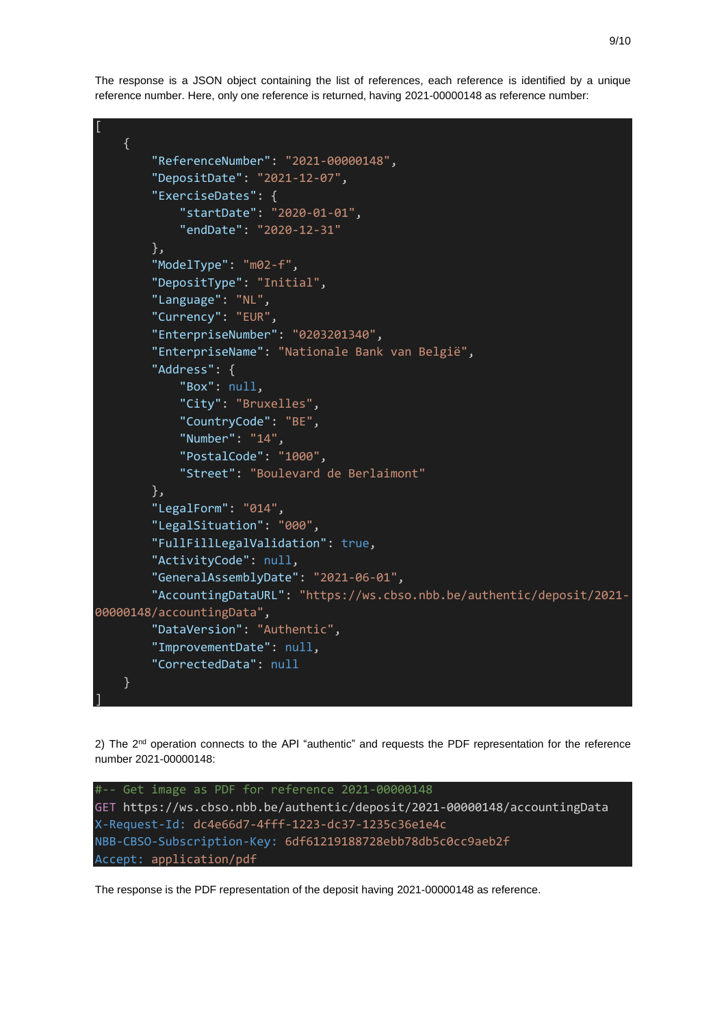The response is a JSON object containing the list of references, each reference is identified by a unique reference number. Here, only one reference is returned, having 2021-00000148 as reference number:



2) The  $2<sup>nd</sup>$  operation connects to the API "authentic" and requests the PDF representation for the reference number 2021-00000148:



The response is the PDF representation of the deposit having 2021-00000148 as reference.